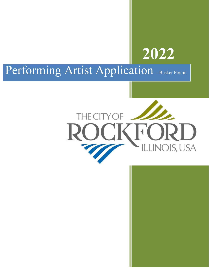

# Performing Artist Application - Busker Permit

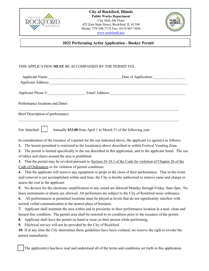



# **2022 Performing Artist Application - Busker Permit**

# THIS APPLICATION **MUST** BE ACCOMPANIED BY THE PERMIT FEE.

| <b>Applicant Name:</b>            | Date of Application: |  |
|-----------------------------------|----------------------|--|
| <b>Applicant Address:</b>         |                      |  |
| Applicant Phone #:                | Email Address:       |  |
| Performance locations and Dates:  |                      |  |
| Brief Description of performance: |                      |  |
|                                   |                      |  |

Fee Attached: **Annually \$33.00** from April 1 to March 31 of the following year

In consideration of the issuance of a permit for the use indicated above, the applicant (s) agree(s) as follows:

**1.** The herein permitted is restricted to the location(s) above described or within Festival Vending Zone,

**2.** The permit is limited specifically to the use described in this application, and to the applicant listed. The use of tables and chairs around the area is prohibited.

**3.** That the permit may be revoked pursuant to Section 26-34.3 of the Code for violation of Chapter 26 of the Code of Ordinances or for violation of permit conditions.

**4.** That the applicant will remove any equipment or props at the close of their performance. That in the event said removal is not accomplished within said time, the City is hereby authorized to remove same and charge or assess the cost to the applicant.

**5.** No devices for the electronic amplification or any sound are allowed Monday through Friday, 8am-5pm. No brass instruments or drums are allowed. All performers are subject to the City of Rockford noise ordinance.

**6.** All performances at permitted locations must be played at levels that do not significantly interfere with normal verbal communication at the nearest place of business.

**7.** Applicant shall maintain the area within and in proximity to their performance location in a neat, clean and hazard-free condition. The permit area shall be restored to its condition prior to the issuance of the permit.

**8.** Applicant shall have the permit on hand or wear on their person while performing.

**9.** Electrical service will not be provided by the City of Rockford.

**10.** If at any time the City determines these guidelines have been violated, we reserve the right to revoke the permit immediately.

The applicant(s) has/have read and understand all of the terms and conditions set forth in this application.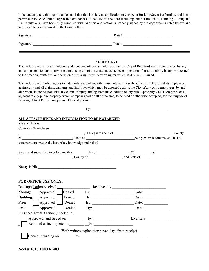I, the undersigned, thoroughly understand that this is solely an application to engage in Busking/Street Performing, and is not permission to do so until all applicable ordinances of the City of Rockford including, but not limited to, Building, Zoning and Fire regulations, have been fully complied with, and this application is properly signed by the departments listed below, and an official license is issued by the Comptroller.

| Signature: | Dated: |
|------------|--------|
| Signature: | Dated: |

### **AGREEMENT**

The undersigned agrees to indemnify, defend and otherwise hold harmless the City of Rockford and its employees, by any and all persons for any injury or claim arising out of the creation, existence or operation of or any activity in any way related to the creation, existence, or operation of Busking/Street Performing for which said permit is issued.

The undersigned further agrees to indemnify, defend and otherwise hold harmless the City of Rockford and its employees, against any and all claims, damages and liabilities which may be asserted against the City of any of its employees, by and all persons in connection with any claim or injury arising from the condition of any public property which composes or is adjacent to any public property which composes part or all of the area, to be used or otherwise occupied, for the purpose of Busking / Street Performing pursuant to said permit.

|                   |                                                             |        |                                                                                                                                                  | By: and the same state of the same state of the same state of the same state of the same state of the same state of the same state of the same state of the same state of the same state of the same state of the same state o |        |
|-------------------|-------------------------------------------------------------|--------|--------------------------------------------------------------------------------------------------------------------------------------------------|--------------------------------------------------------------------------------------------------------------------------------------------------------------------------------------------------------------------------------|--------|
|                   |                                                             |        | ALL ATTACHMENTS AND INFORMATION TO BE NOTARIZED                                                                                                  |                                                                                                                                                                                                                                |        |
| State of Illinois |                                                             |        |                                                                                                                                                  |                                                                                                                                                                                                                                |        |
|                   | County of Winnebago                                         |        |                                                                                                                                                  |                                                                                                                                                                                                                                |        |
|                   |                                                             |        |                                                                                                                                                  | signal contract to the set of the set of the set of the set of the set of the set of the set of the set of the set of the set of the set of the set of the set of the set of the set of the set of the set of the set of the s | County |
|                   |                                                             |        |                                                                                                                                                  |                                                                                                                                                                                                                                |        |
|                   | statements are true to the best of my knowledge and belief. |        |                                                                                                                                                  |                                                                                                                                                                                                                                |        |
|                   |                                                             |        |                                                                                                                                                  |                                                                                                                                                                                                                                |        |
|                   |                                                             |        |                                                                                                                                                  | $\sim$ County of $\sim$ and State of $\sim$                                                                                                                                                                                    |        |
|                   | <b>FOR OFFICE USE ONLY:</b><br>Date application received:   |        | $\frac{1}{\sqrt{1-\frac{1}{2}}}\text{Received by:}\n\frac{1}{\sqrt{1-\frac{1}{2}}\sqrt{1-\frac{1}{2}}\sqrt{1-\frac{1}{2}}\sqrt{1-\frac{1}{2}}}}$ |                                                                                                                                                                                                                                |        |
|                   | <b>Zoning:</b>     Approved                                 | Denied |                                                                                                                                                  |                                                                                                                                                                                                                                |        |
|                   | <b>Building:</b> Approved   Denied                          |        |                                                                                                                                                  |                                                                                                                                                                                                                                |        |
| Fire:             | Approved   Denied                                           |        |                                                                                                                                                  |                                                                                                                                                                                                                                |        |
| PW:               | Approved Denied                                             |        |                                                                                                                                                  |                                                                                                                                                                                                                                |        |
|                   | Finance: Final Action: (check one)                          |        |                                                                                                                                                  |                                                                                                                                                                                                                                |        |
|                   |                                                             |        |                                                                                                                                                  |                                                                                                                                                                                                                                |        |
|                   |                                                             |        |                                                                                                                                                  |                                                                                                                                                                                                                                |        |
|                   |                                                             |        | (With written explanation seven days from receipt)                                                                                               |                                                                                                                                                                                                                                |        |
|                   |                                                             |        |                                                                                                                                                  | Denied in writing on by:                                                                                                                                                                                                       |        |

**Acct # 1010 1000 61403**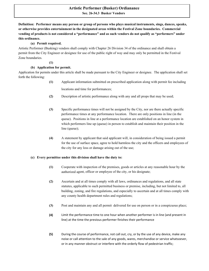## **Sec. 26-34.3 Busker Vendors Artistic Performer (Busker) Ordianance**

**Definition: Performer means any person or group of persons who plays musical instruments, sings, dances, speaks, or otherwise provides entertainment in the designated areas within the Festival Zone boundaries. Commercial vending of products is not considered a "performance" and as such vendors do not qualify as "performers" under this ordinance.** 

## **(a) Permit required.**

Artistic Performer (Busking) vendors shall comply with Chapter 26 Division 34 of the ordinance and shall obtain a permit from the City Engineer or designee for use of the public right of way and may only be permitted in the Festival Zone boundaries.

## **(1)**

# **(b) Application for permit.**

Application for permits under this article shall be made pursuant to the City Engineer or designee. The application shall set forth the following:

- **(1)**  Applicant information submitted on prescribed application along with permit fee including locations and time for performances;
- **(2)**  Description of artistic performance along with any and all props that may be used;
- **(3)** Specific performance times will not be assigned by the City, nor are there actually specific performance times at any performance location. There are only positions in line (in the queue). Positions in line at a performance location are established on an honor system in which performers line up (queue) in person to establish and maintain their position in the line (queue);
- **(4)** A statement by applicant that said applicant will, in consideration of being issued a permit for the use of surface space, agree to hold harmless the city and the officers and employees of the city for any loss or damage arising out of the use;

## **(c) Every permittee under this division shall have the duty to:**

- **(1)** Cooperate with inspection of the premises, goods or articles at any reasonable hour by the authorized agent, officer or employee of the city, or his designate;
- **(2)** Ascertain and at all times comply with all laws, ordinances and regulations, and all state statutes, applicable to such permitted business or premise, including, but not limited to, all building, zoning, and fire regulations, and especially to ascertain and at all times comply with any county health department rules and regulations;
- **(3)** Post and maintain any and all permit delivered for use on person or in a conspicuous place;
- **(4)** Limit the performance time to one hour when another performer is in line (and present in line) at the time the previous performer finishes their performance
- **(5)** During the course of performance, not call out, cry, or by the use of any device, make any noise or call attention to the sale of any goods, wares, merchandise or service whatsoever, or in any manner obstruct or interfere with the orderly flow of pedestrian traffic;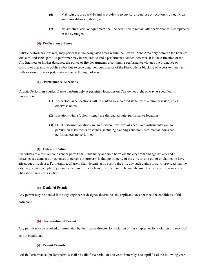- **(6)** Maintain the area within and in proximity to any cart, structure or location in a neat, clean and hazard-free condition; and
- **(7)** No structure, cart, or equipment shall be permitted to remain after performance is complete or in the overnight.

#### **(d) Performance Times**

Artistic performers (buskers) may perform in the designated areas within the Festival Zone Area only between the hours of 9:00 a.m. and 10:00 p.m.; A performer may be required to end a performance sooner, however, if in the estimation of the City Engineer or his/her designee, the police or fire departments, a continuing performance violates the ordinance or constitutes a hazard to public safety due to crowding, non-compliance of the Fire Code or blocking of access to merchant stalls or store fronts or pedestrian access to the right of way.

#### **(e) Performance Locations**

Artistic Performers (buskers) may perform only at permitted locations on City owned right-of-way as specified in this section.

- **(1)** All performance locations will be marked by a colored stencil with a number inside, unless otherwise noted.
- **(2)** Locations with a (color?) stencil are designated quiet performance locations.
- **(3)** Quiet performer locations are areas where low level of vocals and instrumentation, no percussion instruments or sounds (including clapping) and non-instrumental, non-vocal performances are performed.

#### **(f) Indemnification**

All holders of a festival zone vendor permit shall indemnify and hold harmless the city from and against any and all losses, costs, damages or expenses to persons or property including property of the city, arising out of or claimed to have arisen out of such use. Furthermore, all users shall defend, at no cost to the city, any such claims or suits, provided that the city may, at its sole option, join in the defense of such claim or suit without relieving the user from any of its promises or obligations under this section.

#### **(g) Denial of Permit**

Any permit may be denied if the city engineer or designee determines the applicant does not meet the conditions of this ordinance.

#### **(h) Termination of Permit**

Any permit may be revoked or terminated by the finance director for violation of this chapter, or for violation or breach of permit conditions.

#### **(i) Permit Periods**

Artistic Performance (busker) permits shall be valid for a period of one year, from May 1 to April 31 of the following year.